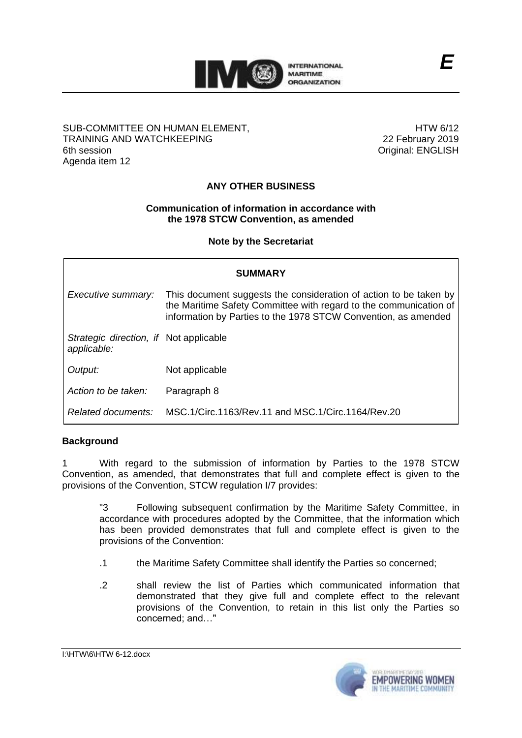

#### SUB-COMMITTEE ON HUMAN ELEMENT, TRAINING AND WATCHKEEPING 6th session Agenda item 12

HTW 6/12 22 February 2019 Original: ENGLISH

# **ANY OTHER BUSINESS**

## **Communication of information in accordance with the 1978 STCW Convention, as amended**

**Note by the Secretariat**

| <b>SUMMARY</b>                                        |                                                                                                                                                                                                          |
|-------------------------------------------------------|----------------------------------------------------------------------------------------------------------------------------------------------------------------------------------------------------------|
| Executive summary:                                    | This document suggests the consideration of action to be taken by<br>the Maritime Safety Committee with regard to the communication of<br>information by Parties to the 1978 STCW Convention, as amended |
| Strategic direction, if Not applicable<br>applicable: |                                                                                                                                                                                                          |
| Output:                                               | Not applicable                                                                                                                                                                                           |
| Action to be taken:                                   | Paragraph 8                                                                                                                                                                                              |
| Related documents:                                    | MSC. 1/Circ. 1163/Rev. 11 and MSC. 1/Circ. 1164/Rev. 20                                                                                                                                                  |

## **Background**

1 With regard to the submission of information by Parties to the 1978 STCW Convention, as amended, that demonstrates that full and complete effect is given to the provisions of the Convention, STCW regulation I/7 provides:

"3 Following subsequent confirmation by the Maritime Safety Committee, in accordance with procedures adopted by the Committee, that the information which has been provided demonstrates that full and complete effect is given to the provisions of the Convention:

- .1 the Maritime Safety Committee shall identify the Parties so concerned;
- .2 shall review the list of Parties which communicated information that demonstrated that they give full and complete effect to the relevant provisions of the Convention, to retain in this list only the Parties so concerned; and…"

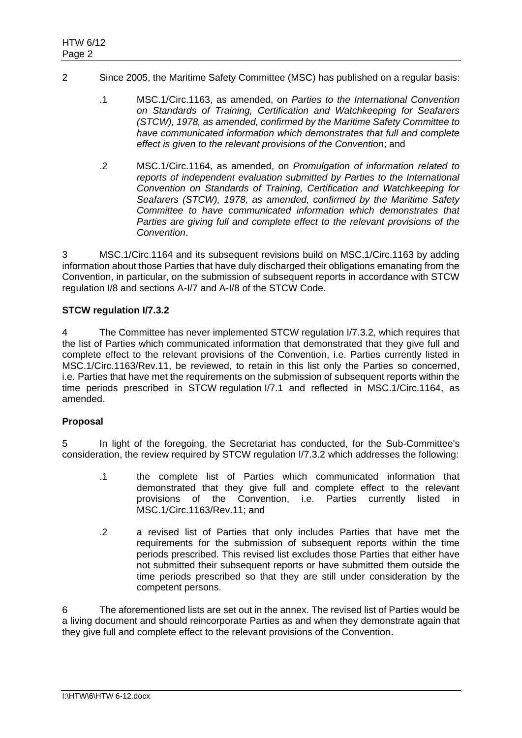- 2 Since 2005, the Maritime Safety Committee (MSC) has published on a regular basis:
	- .1 MSC.1/Circ.1163, as amended, on *Parties to the International Convention on Standards of Training, Certification and Watchkeeping for Seafarers (STCW), 1978, as amended, confirmed by the Maritime Safety Committee to have communicated information which demonstrates that full and complete effect is given to the relevant provisions of the Convention*; and
	- .2 MSC.1/Circ.1164, as amended, on *Promulgation of information related to reports of independent evaluation submitted by Parties to the International Convention on Standards of Training, Certification and Watchkeeping for Seafarers (STCW), 1978, as amended, confirmed by the Maritime Safety Committee to have communicated information which demonstrates that Parties are giving full and complete effect to the relevant provisions of the Convention*.

3 MSC.1/Circ.1164 and its subsequent revisions build on MSC.1/Circ.1163 by adding information about those Parties that have duly discharged their obligations emanating from the Convention, in particular, on the submission of subsequent reports in accordance with STCW regulation I/8 and sections A-I/7 and A-I/8 of the STCW Code.

## **STCW regulation I/7.3.2**

4 The Committee has never implemented STCW regulation I/7.3.2, which requires that the list of Parties which communicated information that demonstrated that they give full and complete effect to the relevant provisions of the Convention, i.e. Parties currently listed in MSC.1/Circ.1163/Rev.11, be reviewed, to retain in this list only the Parties so concerned, i.e. Parties that have met the requirements on the submission of subsequent reports within the time periods prescribed in STCW regulation I/7.1 and reflected in MSC.1/Circ.1164, as amended.

## **Proposal**

5 In light of the foregoing, the Secretariat has conducted, for the Sub-Committee's consideration, the review required by STCW regulation I/7.3.2 which addresses the following:

- .1 the complete list of Parties which communicated information that demonstrated that they give full and complete effect to the relevant provisions of the Convention, i.e. Parties currently listed in MSC.1/Circ.1163/Rev.11; and
- .2 a revised list of Parties that only includes Parties that have met the requirements for the submission of subsequent reports within the time periods prescribed. This revised list excludes those Parties that either have not submitted their subsequent reports or have submitted them outside the time periods prescribed so that they are still under consideration by the competent persons.

6 The aforementioned lists are set out in the annex. The revised list of Parties would be a living document and should reincorporate Parties as and when they demonstrate again that they give full and complete effect to the relevant provisions of the Convention.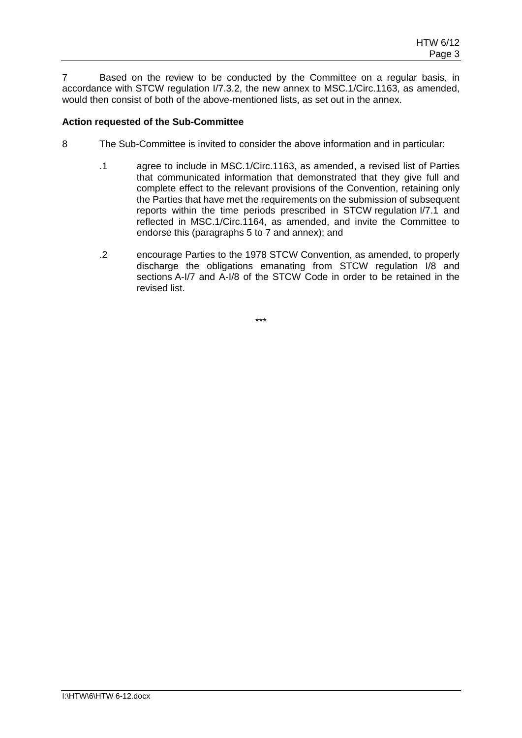7 Based on the review to be conducted by the Committee on a regular basis, in accordance with STCW regulation I/7.3.2, the new annex to MSC.1/Circ.1163, as amended, would then consist of both of the above-mentioned lists, as set out in the annex.

# **Action requested of the Sub-Committee**

- 8 The Sub-Committee is invited to consider the above information and in particular:
	- .1 agree to include in MSC.1/Circ.1163, as amended, a revised list of Parties that communicated information that demonstrated that they give full and complete effect to the relevant provisions of the Convention, retaining only the Parties that have met the requirements on the submission of subsequent reports within the time periods prescribed in STCW regulation I/7.1 and reflected in MSC.1/Circ.1164, as amended, and invite the Committee to endorse this (paragraphs 5 to 7 and annex); and
	- .2 encourage Parties to the 1978 STCW Convention, as amended, to properly discharge the obligations emanating from STCW regulation I/8 and sections A-I/7 and A-I/8 of the STCW Code in order to be retained in the revised list.

\*\*\*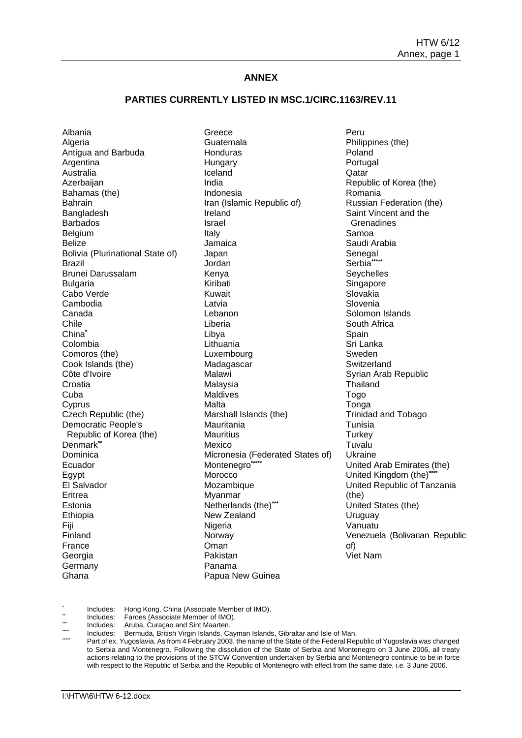#### **ANNEX**

#### **PARTIES CURRENTLY LISTED IN MSC.1/CIRC.1163/REV.11**

Albania **Algeria** Antigua and Barbuda **Argentina** Australia Azerbaijan Bahamas (the) Bahrain Bangladesh Barbados **Belgium** Belize Bolivia (Plurinational State of) Brazil Brunei Darussalam Bulgaria Cabo Verde Cambodia Canada Chile China**\*** Colombia Comoros (the) Cook Islands (the) Côte d'Ivoire **Croatia** Cuba **C**yprus Czech Republic (the) Democratic People's Republic of Korea (the) Denmark**\*\*** Dominica Ecuador Egypt El Salvador Eritrea Estonia Ethiopia Fiji Finland France Georgia Germany Ghana

Greece Guatemala **Honduras Hungary** Iceland India Indonesia Iran (Islamic Republic of) Ireland Israel Italy Jamaica Japan Jordan Kenya Kiribati Kuwait Latvia Lebanon Liberia Libya Lithuania Luxembourg Madagascar **Malawi** Malaysia Maldives Malta Marshall Islands (the) Mauritania **Mauritius** Mexico Micronesia (Federated States of) Montenegro**\*\*\*\*\*** Morocco Mozambique Myanmar Netherlands (the)**\*\*\*** New Zealand Nigeria Norway Oman Pakistan Panama Papua New Guinea

Peru Philippines (the) Poland Portugal **Qatar** Republic of Korea (the) Romania Russian Federation (the) Saint Vincent and the **Grenadines** Samoa Saudi Arabia Senegal Serbia**\*\*\*\*\* Seychelles Singapore** Slovakia Slovenia Solomon Islands South Africa **Spain** Sri Lanka Sweden **Switzerland** Syrian Arab Republic Thailand Togo Tonga Trinidad and Tobago Tunisia **Turkey** Tuvalu Ukraine United Arab Emirates (the) United Kingdom (the)<sup>\*\*\*</sup> United Republic of Tanzania (the) United States (the) Uruguay Vanuatu Venezuela (Bolivarian Republic of) Viet Nam

\* Includes: Hong Kong, China (Associate Member of IMO).<br>Includes: Faroes (Associate Member of IMO).

\*\*\* Includes: Frances (Associate Member of IMO).

\*\* Includes: Aruba, Curaçao and Sint Maarten.<br>\*\*\* Includes: Bermuda British Virgin Islands. Ca

\*\*\*\* Includes: Bermuda, British Virgin Islands, Cayman Islands, Gibraltar and Isle of Man.

Part of ex. Yugoslavia. As from 4 February 2003, the name of the State of the Federal Republic of Yugoslavia was changed to Serbia and Montenegro. Following the dissolution of the State of Serbia and Montenegro on 3 June 2006, all treaty actions relating to the provisions of the STCW Convention undertaken by Serbia and Montenegro continue to be in force with respect to the Republic of Serbia and the Republic of Montenegro with effect from the same date, i.e. 3 June 2006.